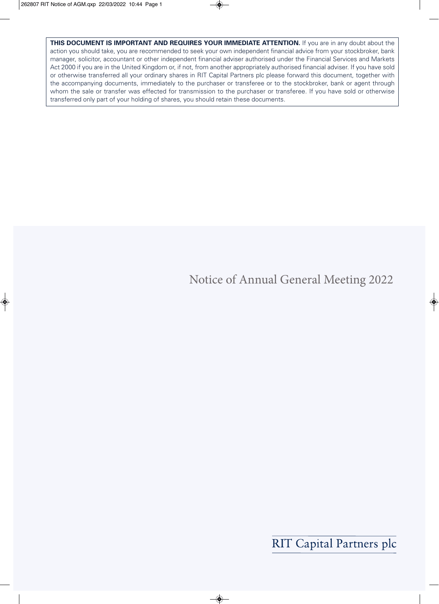**THIS DOCUMENT IS IMPORTANT AND REQUIRES YOUR IMMEDIATE ATTENTION.** If you are in any doubt about the action you should take, you are recommended to seek your own independent financial advice from your stockbroker, bank manager, solicitor, accountant or other independent financial adviser authorised under the Financial Services and Markets Act 2000 if you are in the United Kingdom or, if not, from another appropriately authorised financial adviser. If you have sold or otherwise transferred all your ordinary shares in RIT Capital Partners plc please forward this document, together with the accompanying documents, immediately to the purchaser or transferee or to the stockbroker, bank or agent through whom the sale or transfer was effected for transmission to the purchaser or transferee. If you have sold or otherwise transferred only part of your holding of shares, you should retain these documents.

# Notice of Annual General Meeting 2022

**RIT Capital Partners plc**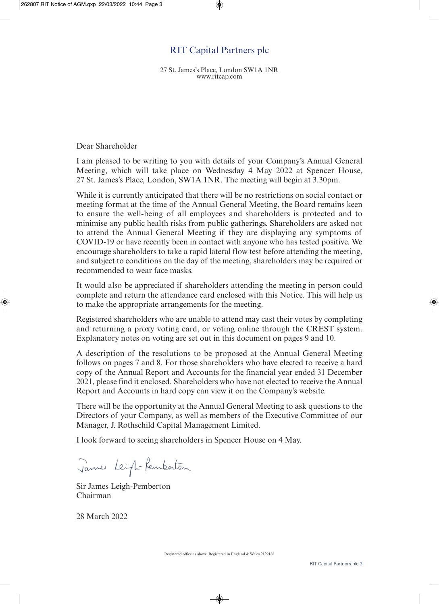### RIT Capital Partners plc

27 St. James's Place, London SW1A 1NR www.ritcap.com

Dear Shareholder

I am pleased to be writing to you with details of your Company's Annual General Meeting, which will take place on Wednesday 4 May 2022 at Spencer House, 27 St. James's Place, London, SW1A 1NR. The meeting will begin at 3.30pm.

While it is currently anticipated that there will be no restrictions on social contact or meeting format at the time of the Annual General Meeting, the Board remains keen to ensure the well-being of all employees and shareholders is protected and to minimise any public health risks from public gatherings. Shareholders are asked not to attend the Annual General Meeting if they are displaying any symptoms of COVID-19 or have recently been in contact with anyone who has tested positive. We encourage shareholders to take a rapid lateral flow test before attending the meeting, and subject to conditions on the day of the meeting, shareholders may be required or recommended to wear face masks.

It would also be appreciated if shareholders attending the meeting in person could complete and return the attendance card enclosed with this Notice. This will help us to make the appropriate arrangements for the meeting.

Registered shareholders who are unable to attend may cast their votes by completing and returning a proxy voting card, or voting online through the CREST system. Explanatory notes on voting are set out in this document on pages 9 and 10.

A description of the resolutions to be proposed at the Annual General Meeting follows on pages 7 and 8. For those shareholders who have elected to receive a hard copy of the Annual Report and Accounts for the financial year ended 31 December 2021, please find it enclosed. Shareholders who have not elected to receive the Annual Report and Accounts in hard copy can view it on the Company's website.

There will be the opportunity at the Annual General Meeting to ask questions to the Directors of your Company, as well as members of the Executive Committee of our Manager, J. Rothschild Capital Management Limited.

I look forward to seeing shareholders in Spencer House on 4 May.

James Leight-Rembertan

Sir James Leigh-Pemberton Chairman

28 March 2022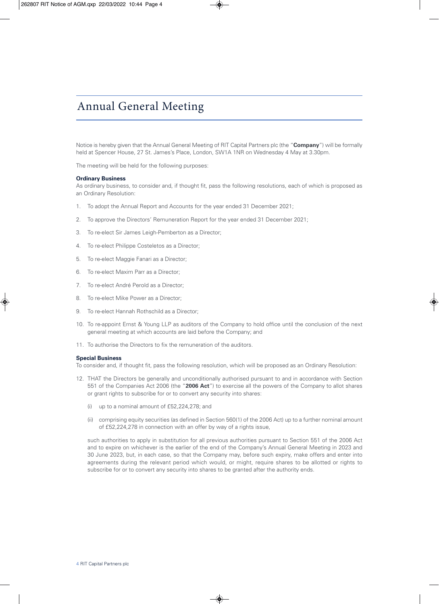### Annual General Meeting

Notice is hereby given that the Annual General Meeting of RIT Capital Partners plc (the "**Company**") will be formally held at Spencer House, 27 St. James's Place, London, SW1A 1NR on Wednesday 4 May at 3.30pm.

The meeting will be held for the following purposes:

#### **Ordinary Business**

As ordinary business, to consider and, if thought fit, pass the following resolutions, each of which is proposed as an Ordinary Resolution:

- 1. To adopt the Annual Report and Accounts for the year ended 31 December 2021;
- 2. To approve the Directors' Remuneration Report for the year ended 31 December 2021;
- 3. To re-elect Sir James Leigh-Pemberton as a Director;
- 4. To re-elect Philippe Costeletos as a Director;
- 5. To re-elect Maggie Fanari as a Director;
- 6. To re-elect Maxim Parr as a Director;
- 7. To re-elect André Perold as a Director;
- 8. To re-elect Mike Power as a Director;
- 9. To re-elect Hannah Rothschild as a Director;
- 10. To re-appoint Ernst & Young LLP as auditors of the Company to hold office until the conclusion of the next general meeting at which accounts are laid before the Company; and
- 11. To authorise the Directors to fix the remuneration of the auditors.

#### **Special Business**

To consider and, if thought fit, pass the following resolution, which will be proposed as an Ordinary Resolution:

- 12. THAT the Directors be generally and unconditionally authorised pursuant to and in accordance with Section 551 of the Companies Act 2006 (the "**2006 Act**") to exercise all the powers of the Company to allot shares or grant rights to subscribe for or to convert any security into shares:
	- (i) up to a nominal amount of £52,224,278; and
	- (ii) comprising equity securities (as defined in Section 560(1) of the 2006 Act) up to a further nominal amount of £52,224,278 in connection with an offer by way of a rights issue,

such authorities to apply in substitution for all previous authorities pursuant to Section 551 of the 2006 Act and to expire on whichever is the earlier of the end of the Company's Annual General Meeting in 2023 and 30 June 2023, but, in each case, so that the Company may, before such expiry, make offers and enter into agreements during the relevant period which would, or might, require shares to be allotted or rights to subscribe for or to convert any security into shares to be granted after the authority ends.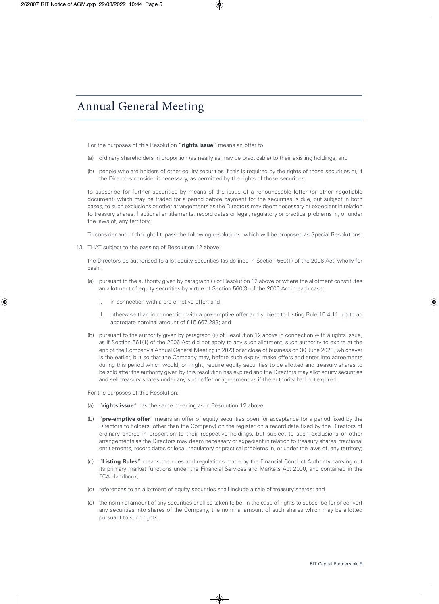### Annual General Meeting

For the purposes of this Resolution "**rights issue**" means an offer to:

- (a) ordinary shareholders in proportion (as nearly as may be practicable) to their existing holdings; and
- (b) people who are holders of other equity securities if this is required by the rights of those securities or, if the Directors consider it necessary, as permitted by the rights of those securities,

to subscribe for further securities by means of the issue of a renounceable letter (or other negotiable document) which may be traded for a period before payment for the securities is due, but subject in both cases, to such exclusions or other arrangements as the Directors may deem necessary or expedient in relation to treasury shares, fractional entitlements, record dates or legal, regulatory or practical problems in, or under the laws of, any territory.

To consider and, if thought fit, pass the following resolutions, which will be proposed as Special Resolutions:

13. THAT subject to the passing of Resolution 12 above:

the Directors be authorised to allot equity securities (as defined in Section 560(1) of the 2006 Act) wholly for cash:

- (a) pursuant to the authority given by paragraph (i) of Resolution 12 above or where the allotment constitutes an allotment of equity securities by virtue of Section 560(3) of the 2006 Act in each case:
	- I. in connection with a pre-emptive offer; and
	- II. otherwise than in connection with a pre-emptive offer and subject to Listing Rule 15.4.11, up to an aggregate nominal amount of £15,667,283; and
- (b) pursuant to the authority given by paragraph (ii) of Resolution 12 above in connection with a rights issue, as if Section 561(1) of the 2006 Act did not apply to any such allotment; such authority to expire at the end of the Company's Annual General Meeting in 2023 or at close of business on 30 June 2023, whichever is the earlier, but so that the Company may, before such expiry, make offers and enter into agreements during this period which would, or might, require equity securities to be allotted and treasury shares to be sold after the authority given by this resolution has expired and the Directors may allot equity securities and sell treasury shares under any such offer or agreement as if the authority had not expired.

For the purposes of this Resolution:

- (a) "**rights issue**" has the same meaning as in Resolution 12 above;
- (b) "**pre-emptive offer**" means an offer of equity securities open for acceptance for a period fixed by the Directors to holders (other than the Company) on the register on a record date fixed by the Directors of ordinary shares in proportion to their respective holdings, but subject to such exclusions or other arrangements as the Directors may deem necessary or expedient in relation to treasury shares, fractional entitlements, record dates or legal, regulatory or practical problems in, or under the laws of, any territory;
- (c) "**Listing Rules**" means the rules and regulations made by the Financial Conduct Authority carrying out its primary market functions under the Financial Services and Markets Act 2000, and contained in the FCA Handbook;
- (d) references to an allotment of equity securities shall include a sale of treasury shares; and
- (e) the nominal amount of any securities shall be taken to be, in the case of rights to subscribe for or convert any securities into shares of the Company, the nominal amount of such shares which may be allotted pursuant to such rights.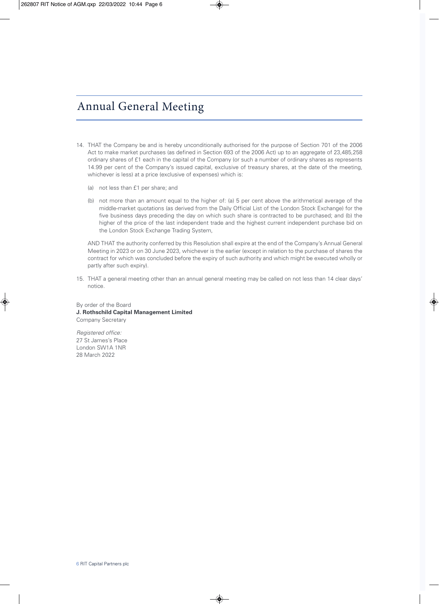# Annual General Meeting

- 14. THAT the Company be and is hereby unconditionally authorised for the purpose of Section 701 of the 2006 Act to make market purchases (as defined in Section 693 of the 2006 Act) up to an aggregate of 23,485,258 ordinary shares of £1 each in the capital of the Company (or such a number of ordinary shares as represents 14.99 per cent of the Company's issued capital, exclusive of treasury shares, at the date of the meeting, whichever is less) at a price (exclusive of expenses) which is:
	- (a) not less than £1 per share; and
	- (b) not more than an amount equal to the higher of: (a) 5 per cent above the arithmetical average of the middle-market quotations (as derived from the Daily Official List of the London Stock Exchange) for the five business days preceding the day on which such share is contracted to be purchased; and (b) the higher of the price of the last independent trade and the highest current independent purchase bid on the London Stock Exchange Trading System,

AND THAT the authority conferred by this Resolution shall expire at the end of the Company's Annual General Meeting in 2023 or on 30 June 2023, whichever is the earlier (except in relation to the purchase of shares the contract for which was concluded before the expiry of such authority and which might be executed wholly or partly after such expiry).

15. THAT a general meeting other than an annual general meeting may be called on not less than 14 clear days' notice.

By order of the Board **J. Rothschild Capital Management Limited** Company Secretary

Registered office: 27 St James's Place London SW1A 1NR 28 March 2022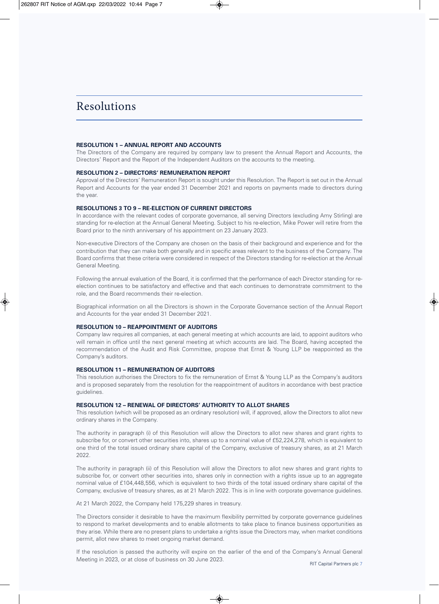### Resolutions

#### **RESOLUTION 1 – ANNUAL REPORT AND ACCOUNTS**

The Directors of the Company are required by company law to present the Annual Report and Accounts, the Directors' Report and the Report of the Independent Auditors on the accounts to the meeting.

#### **RESOLUTION 2 – DIRECTORS' REMUNERATION REPORT**

Approval of the Directors' Remuneration Report is sought under this Resolution. The Report is set out in the Annual Report and Accounts for the year ended 31 December 2021 and reports on payments made to directors during the year.

#### **RESOLUTIONS 3 TO 9 – RE-ELECTION OF CURRENT DIRECTORS**

In accordance with the relevant codes of corporate governance, all serving Directors (excluding Amy Stirling) are standing for re-election at the Annual General Meeting. Subject to his re-election, Mike Power will retire from the Board prior to the ninth anniversary of his appointment on 23 January 2023.

Non-executive Directors of the Company are chosen on the basis of their background and experience and for the contribution that they can make both generally and in specific areas relevant to the business of the Company. The Board confirms that these criteria were considered in respect of the Directors standing for re-election at the Annual General Meeting.

Following the annual evaluation of the Board, it is confirmed that the performance of each Director standing for reelection continues to be satisfactory and effective and that each continues to demonstrate commitment to the role, and the Board recommends their re-election.

Biographical information on all the Directors is shown in the Corporate Governance section of the Annual Report and Accounts for the year ended 31 December 2021.

#### **RESOLUTION 10 – REAPPOINTMENT OF AUDITORS**

Company law requires all companies, at each general meeting at which accounts are laid, to appoint auditors who will remain in office until the next general meeting at which accounts are laid. The Board, having accepted the recommendation of the Audit and Risk Committee, propose that Ernst & Young LLP be reappointed as the Company's auditors.

### **RESOLUTION 11 – REMUNERATION OF AUDITORS**

This resolution authorises the Directors to fix the remuneration of Ernst & Young LLP as the Company's auditors and is proposed separately from the resolution for the reappointment of auditors in accordance with best practice guidelines.

#### **RESOLUTION 12 – RENEWAL OF DIRECTORS' AUTHORITY TO ALLOT SHARES**

This resolution (which will be proposed as an ordinary resolution) will, if approved, allow the Directors to allot new ordinary shares in the Company.

The authority in paragraph (i) of this Resolution will allow the Directors to allot new shares and grant rights to subscribe for, or convert other securities into, shares up to a nominal value of £52,224,278, which is equivalent to one third of the total issued ordinary share capital of the Company, exclusive of treasury shares, as at 21 March 2022.

The authority in paragraph (ii) of this Resolution will allow the Directors to allot new shares and grant rights to subscribe for, or convert other securities into, shares only in connection with a rights issue up to an aggregate nominal value of £104,448,556, which is equivalent to two thirds of the total issued ordinary share capital of the Company, exclusive of treasury shares, as at 21 March 2022. This is in line with corporate governance guidelines.

At 21 March 2022, the Company held 175,229 shares in treasury.

The Directors consider it desirable to have the maximum flexibility permitted by corporate governance guidelines to respond to market developments and to enable allotments to take place to finance business opportunities as they arise. While there are no present plans to undertake a rights issue the Directors may, when market conditions permit, allot new shares to meet ongoing market demand.

If the resolution is passed the authority will expire on the earlier of the end of the Company's Annual General Meeting in 2023, or at close of business on 30 June 2023.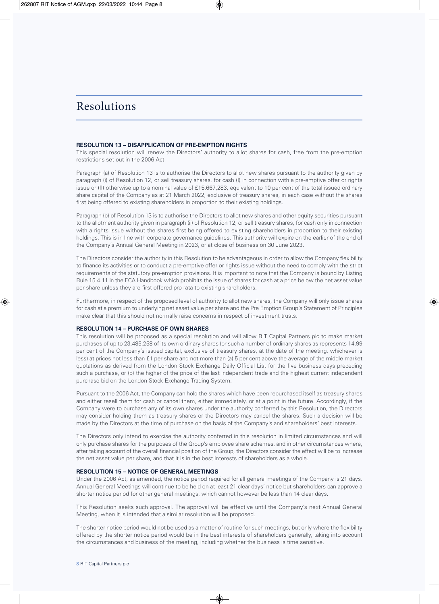### Resolutions

#### **RESOLUTION 13 – DISAPPLICATION OF PRE-EMPTION RIGHTS**

This special resolution will renew the Directors' authority to allot shares for cash, free from the pre-emption restrictions set out in the 2006 Act.

Paragraph (a) of Resolution 13 is to authorise the Directors to allot new shares pursuant to the authority given by paragraph (i) of Resolution 12, or sell treasury shares, for cash (I) in connection with a pre-emptive offer or rights issue or (II) otherwise up to a nominal value of £15,667,283, equivalent to 10 per cent of the total issued ordinary share capital of the Company as at 21 March 2022, exclusive of treasury shares, in each case without the shares first being offered to existing shareholders in proportion to their existing holdings.

Paragraph (b) of Resolution 13 is to authorise the Directors to allot new shares and other equity securities pursuant to the allotment authority given in paragraph (ii) of Resolution 12, or sell treasury shares, for cash only in connection with a rights issue without the shares first being offered to existing shareholders in proportion to their existing holdings. This is in line with corporate governance guidelines. This authority will expire on the earlier of the end of the Company's Annual General Meeting in 2023, or at close of business on 30 June 2023.

The Directors consider the authority in this Resolution to be advantageous in order to allow the Company flexibility to finance its activities or to conduct a pre-emptive offer or rights issue without the need to comply with the strict requirements of the statutory pre-emption provisions. It is important to note that the Company is bound by Listing Rule 15.4.11 in the FCA Handbook which prohibits the issue of shares for cash at a price below the net asset value per share unless they are first offered pro rata to existing shareholders.

Furthermore, in respect of the proposed level of authority to allot new shares, the Company will only issue shares for cash at a premium to underlying net asset value per share and the Pre Emption Group's Statement of Principles make clear that this should not normally raise concerns in respect of investment trusts.

#### **RESOLUTION 14 – PURCHASE OF OWN SHARES**

This resolution will be proposed as a special resolution and will allow RIT Capital Partners plc to make market purchases of up to 23,485,258 of its own ordinary shares (or such a number of ordinary shares as represents 14.99 per cent of the Company's issued capital, exclusive of treasury shares, at the date of the meeting, whichever is less) at prices not less than £1 per share and not more than (a) 5 per cent above the average of the middle market quotations as derived from the London Stock Exchange Daily Official List for the five business days preceding such a purchase, or (b) the higher of the price of the last independent trade and the highest current independent purchase bid on the London Stock Exchange Trading System.

Pursuant to the 2006 Act, the Company can hold the shares which have been repurchased itself as treasury shares and either resell them for cash or cancel them, either immediately, or at a point in the future. Accordingly, if the Company were to purchase any of its own shares under the authority conferred by this Resolution, the Directors may consider holding them as treasury shares or the Directors may cancel the shares. Such a decision will be made by the Directors at the time of purchase on the basis of the Company's and shareholders' best interests.

The Directors only intend to exercise the authority conferred in this resolution in limited circumstances and will only purchase shares for the purposes of the Group's employee share schemes, and in other circumstances where, after taking account of the overall financial position of the Group, the Directors consider the effect will be to increase the net asset value per share, and that it is in the best interests of shareholders as a whole.

#### **RESOLUTION 15 – NOTICE OF GENERAL MEETINGS**

Under the 2006 Act, as amended, the notice period required for all general meetings of the Company is 21 days. Annual General Meetings will continue to be held on at least 21 clear days' notice but shareholders can approve a shorter notice period for other general meetings, which cannot however be less than 14 clear days.

This Resolution seeks such approval. The approval will be effective until the Company's next Annual General Meeting, when it is intended that a similar resolution will be proposed.

The shorter notice period would not be used as a matter of routine for such meetings, but only where the flexibility offered by the shorter notice period would be in the best interests of shareholders generally, taking into account the circumstances and business of the meeting, including whether the business is time sensitive.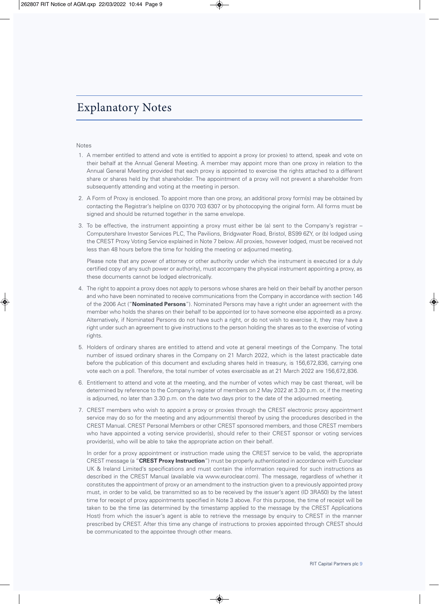### Explanatory Notes

#### Notes

- 1. A member entitled to attend and vote is entitled to appoint a proxy (or proxies) to attend, speak and vote on their behalf at the Annual General Meeting. A member may appoint more than one proxy in relation to the Annual General Meeting provided that each proxy is appointed to exercise the rights attached to a different share or shares held by that shareholder. The appointment of a proxy will not prevent a shareholder from subsequently attending and voting at the meeting in person.
- 2. A Form of Proxy is enclosed. To appoint more than one proxy, an additional proxy form(s) may be obtained by contacting the Registrar's helpline on 0370 703 6307 or by photocopying the original form. All forms must be signed and should be returned together in the same envelope.
- 3. To be effective, the instrument appointing a proxy must either be (a) sent to the Company's registrar Computershare Investor Services PLC, The Pavilions, Bridgwater Road, Bristol, BS99 6ZY, or (b) lodged using the CREST Proxy Voting Service explained in Note 7 below. All proxies, however lodged, must be received not less than 48 hours before the time for holding the meeting or adjourned meeting.

Please note that any power of attorney or other authority under which the instrument is executed (or a duly certified copy of any such power or authority), must accompany the physical instrument appointing a proxy, as these documents cannot be lodged electronically.

- 4. The right to appoint a proxy does not apply to persons whose shares are held on their behalf by another person and who have been nominated to receive communications from the Company in accordance with section 146 of the 2006 Act ("**Nominated Persons**"). Nominated Persons may have a right under an agreement with the member who holds the shares on their behalf to be appointed (or to have someone else appointed) as a proxy. Alternatively, if Nominated Persons do not have such a right, or do not wish to exercise it, they may have a right under such an agreement to give instructions to the person holding the shares as to the exercise of voting rights.
- 5. Holders of ordinary shares are entitled to attend and vote at general meetings of the Company. The total number of issued ordinary shares in the Company on 21 March 2022, which is the latest practicable date before the publication of this document and excluding shares held in treasury, is 156,672,836, carrying one vote each on a poll. Therefore, the total number of votes exercisable as at 21 March 2022 are 156,672,836.
- 6. Entitlement to attend and vote at the meeting, and the number of votes which may be cast thereat, will be determined by reference to the Company's register of members on 2 May 2022 at 3.30 p.m. or, if the meeting is adjourned, no later than 3.30 p.m. on the date two days prior to the date of the adjourned meeting.
- 7. CREST members who wish to appoint a proxy or proxies through the CREST electronic proxy appointment service may do so for the meeting and any adjournment(s) thereof by using the procedures described in the CREST Manual. CREST Personal Members or other CREST sponsored members, and those CREST members who have appointed a voting service provider(s), should refer to their CREST sponsor or voting services provider(s), who will be able to take the appropriate action on their behalf.

 In order for a proxy appointment or instruction made using the CREST service to be valid, the appropriate CREST message (a "**CREST Proxy Instruction**") must be properly authenticated in accordance with Euroclear UK & Ireland Limited's specifications and must contain the information required for such instructions as described in the CREST Manual (available via www.euroclear.com). The message, regardless of whether it constitutes the appointment of proxy or an amendment to the instruction given to a previously appointed proxy must, in order to be valid, be transmitted so as to be received by the issuer's agent (ID 3RA50) by the latest time for receipt of proxy appointments specified in Note 3 above. For this purpose, the time of receipt will be taken to be the time (as determined by the timestamp applied to the message by the CREST Applications Host) from which the issuer's agent is able to retrieve the message by enquiry to CREST in the manner prescribed by CREST. After this time any change of instructions to proxies appointed through CREST should be communicated to the appointee through other means.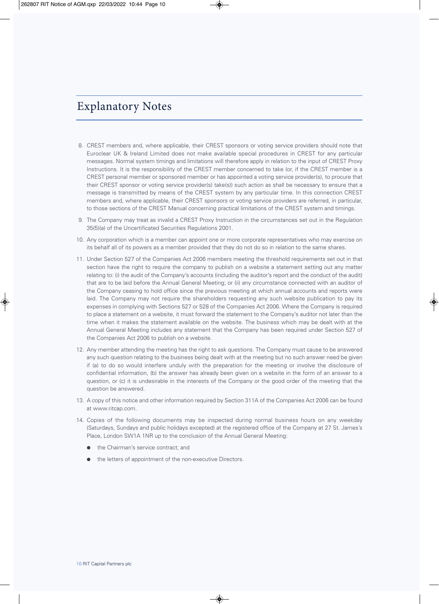### Explanatory Notes

- 8. CREST members and, where applicable, their CREST sponsors or voting service providers should note that Euroclear UK & Ireland Limited does not make available special procedures in CREST for any particular messages. Normal system timings and limitations will therefore apply in relation to the input of CREST Proxy Instructions. It is the responsibility of the CREST member concerned to take (or, if the CREST member is a CREST personal member or sponsored member or has appointed a voting service provider(s), to procure that their CREST sponsor or voting service provider(s) take(s)) such action as shall be necessary to ensure that a message is transmitted by means of the CREST system by any particular time. In this connection CREST members and, where applicable, their CREST sponsors or voting service providers are referred, in particular, to those sections of the CREST Manual concerning practical limitations of the CREST system and timings.
- 9. The Company may treat as invalid a CREST Proxy Instruction in the circumstances set out in the Regulation 35(5)(a) of the Uncertificated Securities Regulations 2001.
- 10. Any corporation which is a member can appoint one or more corporate representatives who may exercise on its behalf all of its powers as a member provided that they do not do so in relation to the same shares.
- 11. Under Section 527 of the Companies Act 2006 members meeting the threshold requirements set out in that section have the right to require the company to publish on a website a statement setting out any matter relating to: (i) the audit of the Company's accounts (including the auditor's report and the conduct of the audit) that are to be laid before the Annual General Meeting; or (ii) any circumstance connected with an auditor of the Company ceasing to hold office since the previous meeting at which annual accounts and reports were laid. The Company may not require the shareholders requesting any such website publication to pay its expenses in complying with Sections 527 or 528 of the Companies Act 2006. Where the Company is required to place a statement on a website, it must forward the statement to the Company's auditor not later than the time when it makes the statement available on the website. The business which may be dealt with at the Annual General Meeting includes any statement that the Company has been required under Section 527 of the Companies Act 2006 to publish on a website.
- 12. Any member attending the meeting has the right to ask questions. The Company must cause to be answered any such question relating to the business being dealt with at the meeting but no such answer need be given if (a) to do so would interfere unduly with the preparation for the meeting or involve the disclosure of confidential information, (b) the answer has already been given on a website in the form of an answer to a question, or (c) it is undesirable in the interests of the Company or the good order of the meeting that the question be answered.
- 13. A copy of this notice and other information required by Section 311A of the Companies Act 2006 can be found at www.ritcap.com.
- 14. Copies of the following documents may be inspected during normal business hours on any weekday (Saturdays, Sundays and public holidays excepted) at the registered office of the Company at 27 St. James's Place, London SW1A 1NR up to the conclusion of the Annual General Meeting:
	- the Chairman's service contract; and
	- the letters of appointment of the non-executive Directors.